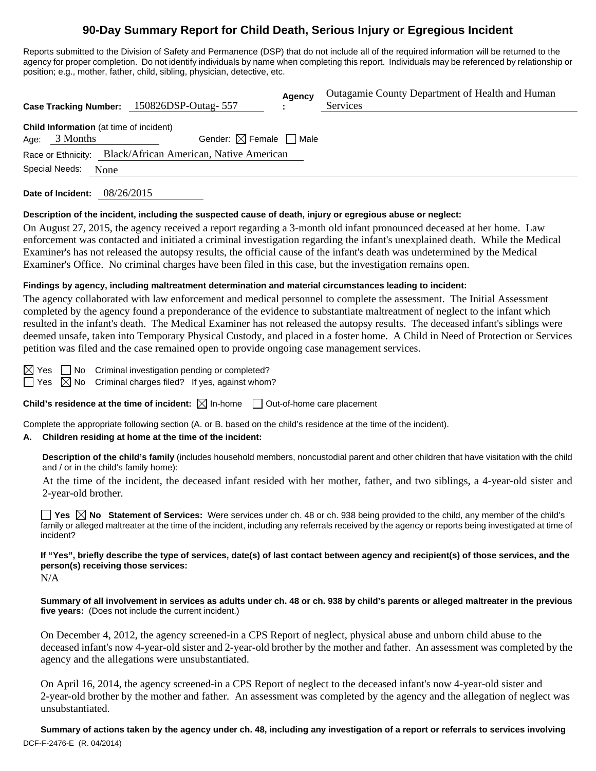# **90-Day Summary Report for Child Death, Serious Injury or Egregious Incident**

Reports submitted to the Division of Safety and Permanence (DSP) that do not include all of the required information will be returned to the agency for proper completion. Do not identify individuals by name when completing this report. Individuals may be referenced by relationship or position; e.g., mother, father, child, sibling, physician, detective, etc.

|                                                                    | Case Tracking Number: 150826DSP-Outag-557                  | Agency<br>$\mathbf{r}$ | Outagamie County Department of Health and Human<br>Services |
|--------------------------------------------------------------------|------------------------------------------------------------|------------------------|-------------------------------------------------------------|
| <b>Child Information</b> (at time of incident)<br>3 Months<br>Age: | Gender: $\boxtimes$ Female $\Box$ Male                     |                        |                                                             |
| Special Needs:<br>None                                             | Race or Ethnicity: Black/African American, Native American |                        |                                                             |

**Date of Incident:** 08/26/2015

#### **Description of the incident, including the suspected cause of death, injury or egregious abuse or neglect:**

On August 27, 2015, the agency received a report regarding a 3-month old infant pronounced deceased at her home. Law enforcement was contacted and initiated a criminal investigation regarding the infant's unexplained death. While the Medical Examiner's has not released the autopsy results, the official cause of the infant's death was undetermined by the Medical Examiner's Office. No criminal charges have been filed in this case, but the investigation remains open.

#### **Findings by agency, including maltreatment determination and material circumstances leading to incident:**

The agency collaborated with law enforcement and medical personnel to complete the assessment. The Initial Assessment completed by the agency found a preponderance of the evidence to substantiate maltreatment of neglect to the infant which resulted in the infant's death. The Medical Examiner has not released the autopsy results. The deceased infant's siblings were deemed unsafe, taken into Temporary Physical Custody, and placed in a foster home. A Child in Need of Protection or Services petition was filed and the case remained open to provide ongoing case management services.

 $\boxtimes$  Yes  $\Box$  No Criminal investigation pending or completed?

 $\Box$  Yes  $\boxtimes$  No Criminal charges filed? If yes, against whom?

**Child's residence at the time of incident:**  $\boxtimes$  In-home  $\Box$  Out-of-home care placement

Complete the appropriate following section (A. or B. based on the child's residence at the time of the incident).

#### **A. Children residing at home at the time of the incident:**

**Description of the child's family** (includes household members, noncustodial parent and other children that have visitation with the child and / or in the child's family home):

 At the time of the incident, the deceased infant resided with her mother, father, and two siblings, a 4-year-old sister and 2-year-old brother.

**Yes**  $\boxtimes$  **No** Statement of Services: Were services under ch. 48 or ch. 938 being provided to the child, any member of the child's family or alleged maltreater at the time of the incident, including any referrals received by the agency or reports being investigated at time of incident?

## **If "Yes", briefly describe the type of services, date(s) of last contact between agency and recipient(s) of those services, and the person(s) receiving those services:**

N/A

**Summary of all involvement in services as adults under ch. 48 or ch. 938 by child's parents or alleged maltreater in the previous five years:** (Does not include the current incident.)

On December 4, 2012, the agency screened-in a CPS Report of neglect, physical abuse and unborn child abuse to the deceased infant's now 4-year-old sister and 2-year-old brother by the mother and father. An assessment was completed by the agency and the allegations were unsubstantiated.

On April 16, 2014, the agency screened-in a CPS Report of neglect to the deceased infant's now 4-year-old sister and 2-year-old brother by the mother and father. An assessment was completed by the agency and the allegation of neglect was unsubstantiated.

DCF-F-2476-E (R. 04/2014) **Summary of actions taken by the agency under ch. 48, including any investigation of a report or referrals to services involving**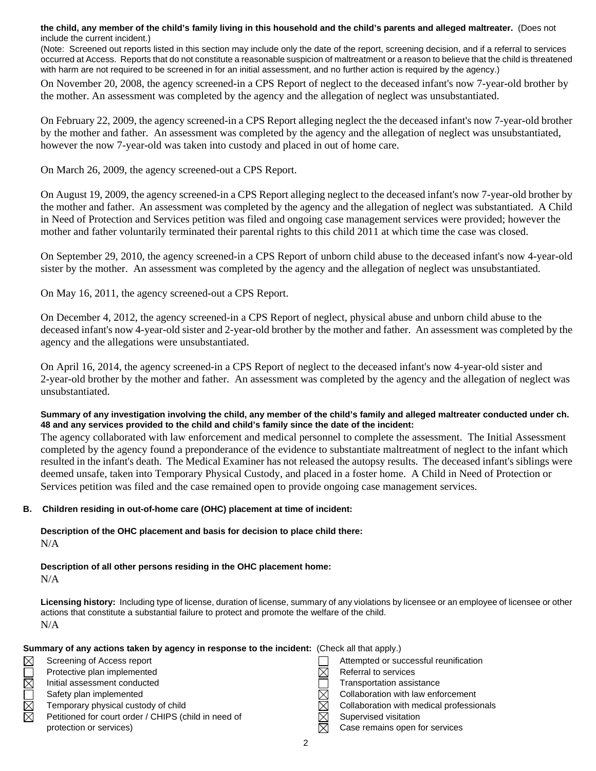**the child, any member of the child's family living in this household and the child's parents and alleged maltreater.** (Does not include the current incident.)

(Note: Screened out reports listed in this section may include only the date of the report, screening decision, and if a referral to services occurred at Access. Reports that do not constitute a reasonable suspicion of maltreatment or a reason to believe that the child is threatened with harm are not required to be screened in for an initial assessment, and no further action is required by the agency.)

On November 20, 2008, the agency screened-in a CPS Report of neglect to the deceased infant's now 7-year-old brother by the mother. An assessment was completed by the agency and the allegation of neglect was unsubstantiated.

On February 22, 2009, the agency screened-in a CPS Report alleging neglect the the deceased infant's now 7-year-old brother by the mother and father. An assessment was completed by the agency and the allegation of neglect was unsubstantiated, however the now 7-year-old was taken into custody and placed in out of home care.

On March 26, 2009, the agency screened-out a CPS Report.

On August 19, 2009, the agency screened-in a CPS Report alleging neglect to the deceased infant's now 7-year-old brother by the mother and father. An assessment was completed by the agency and the allegation of neglect was substantiated. A Child in Need of Protection and Services petition was filed and ongoing case management services were provided; however the mother and father voluntarily terminated their parental rights to this child 2011 at which time the case was closed.

On September 29, 2010, the agency screened-in a CPS Report of unborn child abuse to the deceased infant's now 4-year-old sister by the mother. An assessment was completed by the agency and the allegation of neglect was unsubstantiated.

On May 16, 2011, the agency screened-out a CPS Report.

On December 4, 2012, the agency screened-in a CPS Report of neglect, physical abuse and unborn child abuse to the deceased infant's now 4-year-old sister and 2-year-old brother by the mother and father. An assessment was completed by the agency and the allegations were unsubstantiated.

On April 16, 2014, the agency screened-in a CPS Report of neglect to the deceased infant's now 4-year-old sister and 2-year-old brother by the mother and father. An assessment was completed by the agency and the allegation of neglect was unsubstantiated.

**Summary of any investigation involving the child, any member of the child's family and alleged maltreater conducted under ch. 48 and any services provided to the child and child's family since the date of the incident:** 

The agency collaborated with law enforcement and medical personnel to complete the assessment. The Initial Assessment completed by the agency found a preponderance of the evidence to substantiate maltreatment of neglect to the infant which resulted in the infant's death. The Medical Examiner has not released the autopsy results. The deceased infant's siblings were deemed unsafe, taken into Temporary Physical Custody, and placed in a foster home. A Child in Need of Protection or Services petition was filed and the case remained open to provide ongoing case management services.

#### **B. Children residing in out-of-home care (OHC) placement at time of incident:**

**Description of the OHC placement and basis for decision to place child there:** N/A

**Description of all other persons residing in the OHC placement home:** N/A

**Licensing history:** Including type of license, duration of license, summary of any violations by licensee or an employee of licensee or other actions that constitute a substantial failure to protect and promote the welfare of the child. N/A

|                        | Summary of any actions taken by agency in response to the incident: (Check all that apply.) |                                          |
|------------------------|---------------------------------------------------------------------------------------------|------------------------------------------|
| $\boxtimes$            | Screening of Access report                                                                  | Attempted or successful reunification    |
| $\overline{\boxtimes}$ | Protective plan implemented                                                                 | Referral to services                     |
|                        | Initial assessment conducted                                                                | Transportation assistance                |
|                        | Safety plan implemented                                                                     | Collaboration with law enforcement       |
| $\Box$                 | Temporary physical custody of child                                                         | Collaboration with medical professionals |
| 岗                      | Petitioned for court order / CHIPS (child in need of                                        | Supervised visitation                    |
|                        | protection or services)                                                                     | Case remains open for services           |